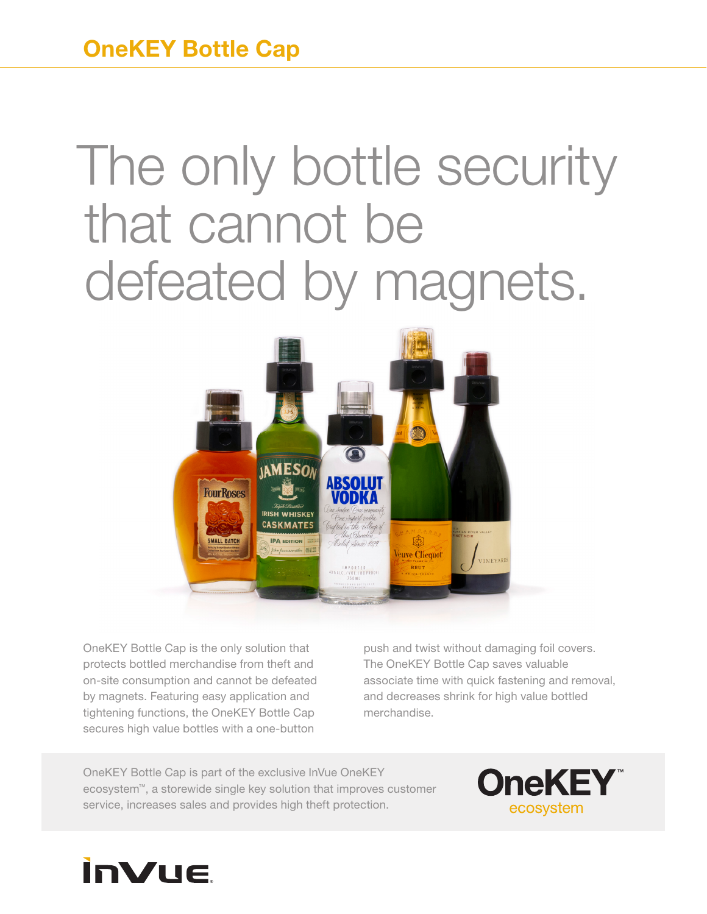## The only bottle security that cannot be defeated by magnets.



OneKEY Bottle Cap is the only solution that protects bottled merchandise from theft and on-site consumption and cannot be defeated by magnets. Featuring easy application and tightening functions, the OneKEY Bottle Cap secures high value bottles with a one-button

push and twist without damaging foil covers. The OneKEY Bottle Cap saves valuable associate time with quick fastening and removal, and decreases shrink for high value bottled merchandise.

OneKEY Bottle Cap is part of the exclusive InVue OneKEY ecosystem™, a storewide single key solution that improves customer service, increases sales and provides high theft protection.